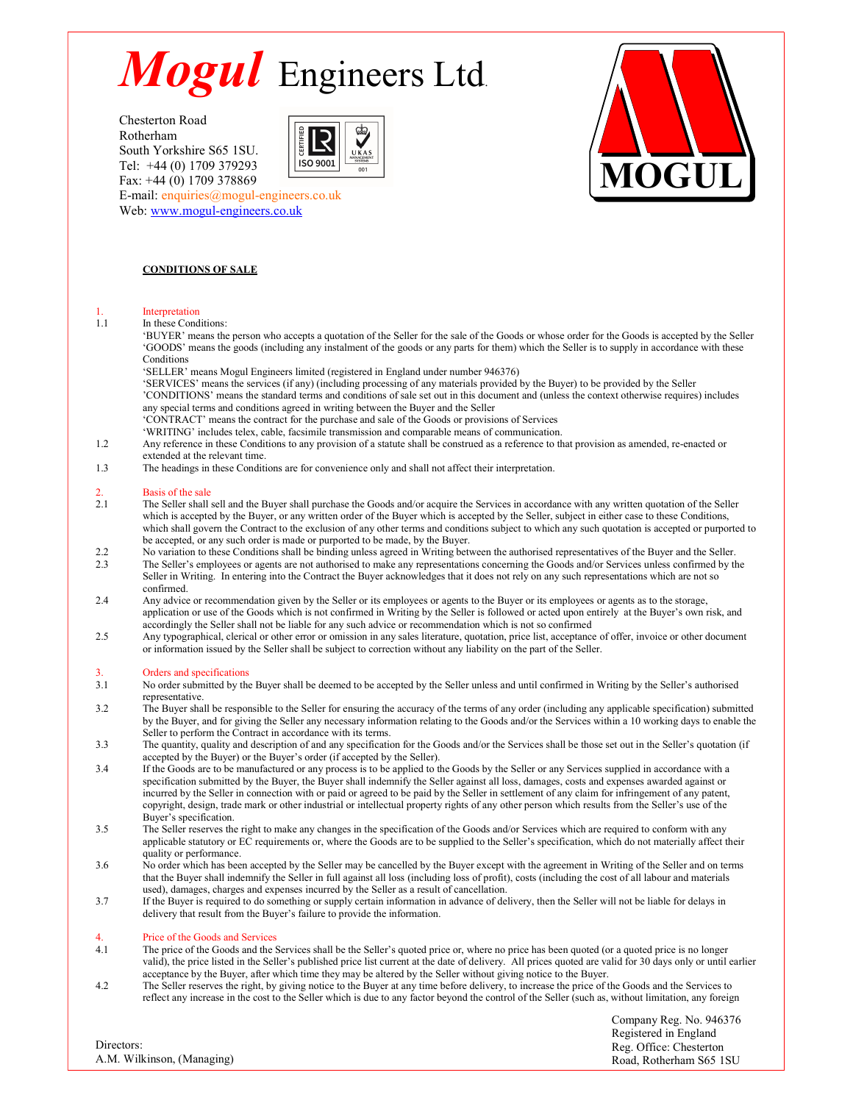South Yorkshire S65 1SU. Tel: +44 (0) 1709 379293 Fax: +44 (0) 1709 378869





#### E-mail: enquiries@mogul-engineers.co.uk Web: www.mogul-engineers.co.uk

#### CONDITIONS OF SALE

### 1. Interpretation<br>1.1 In these Cond

In these Conditions:

'BUYER' means the person who accepts a quotation of the Seller for the sale of the Goods or whose order for the Goods is accepted by the Seller 'GOODS' means the goods (including any instalment of the goods or any parts for them) which the Seller is to supply in accordance with these Conditions

'SELLER' means Mogul Engineers limited (registered in England under number 946376)

'SERVICES' means the services (if any) (including processing of any materials provided by the Buyer) to be provided by the Seller 'CONDITIONS' means the standard terms and conditions of sale set out in this document and (unless the context otherwise requires) includes any special terms and conditions agreed in writing between the Buyer and the Seller 'CONTRACT' means the contract for the purchase and sale of the Goods or provisions of Services

- 'WRITING' includes telex, cable, facsimile transmission and comparable means of communication.
- 1.2 Any reference in these Conditions to any provision of a statute shall be construed as a reference to that provision as amended, re-enacted or extended at the relevant time.
- 1.3 The headings in these Conditions are for convenience only and shall not affect their interpretation.

# 2. Basis of the sale<br>2.1 The Seller shall

- 2.1 The Seller shall sell and the Buyer shall purchase the Goods and/or acquire the Services in accordance with any written quotation of the Seller which is accepted by the Buyer, or any written order of the Buyer which is accepted by the Seller, subject in either case to these Conditions, which shall govern the Contract to the exclusion of any other terms and conditions subject to which any such quotation is accepted or purported to be accepted, or any such order is made or purported to be made, by the Buyer.
- 2.2 No variation to these Conditions shall be binding unless agreed in Writing between the authorised representatives of the Buyer and the Seller.<br>2.3 The Seller's employees or agents are not authorised to make any represe
- The Seller's employees or agents are not authorised to make any representations concerning the Goods and/or Services unless confirmed by the Seller in Writing. In entering into the Contract the Buyer acknowledges that it does not rely on any such representations which are not so confirmed.
- 2.4 Any advice or recommendation given by the Seller or its employees or agents to the Buyer or its employees or agents as to the storage, application or use of the Goods which is not confirmed in Writing by the Seller is followed or acted upon entirely at the Buyer's own risk, and accordingly the Seller shall not be liable for any such advice or recommendation which is not so confirmed
- 2.5 Any typographical, clerical or other error or omission in any sales literature, quotation, price list, acceptance of offer, invoice or other document or information issued by the Seller shall be subject to correction without any liability on the part of the Seller.

- 3. Orders and specifications<br>3.1 No order submitted by the 3.1 No order submitted by the Buyer shall be deemed to be accepted by the Seller unless and until confirmed in Writing by the Seller's authorised representative.
- 3.2 The Buyer shall be responsible to the Seller for ensuring the accuracy of the terms of any order (including any applicable specification) submitted by the Buyer, and for giving the Seller any necessary information relating to the Goods and/or the Services within a 10 working days to enable the Seller to perform the Contract in accordance with its terms.
- 3.3 The quantity, quality and description of and any specification for the Goods and/or the Services shall be those set out in the Seller's quotation (if accepted by the Buyer) or the Buyer's order (if accepted by the Seller).
- 3.4 If the Goods are to be manufactured or any process is to be applied to the Goods by the Seller or any Services supplied in accordance with a specification submitted by the Buyer, the Buyer shall indemnify the Seller against all loss, damages, costs and expenses awarded against or incurred by the Seller in connection with or paid or agreed to be paid by the Seller in settlement of any claim for infringement of any patent, copyright, design, trade mark or other industrial or intellectual property rights of any other person which results from the Seller's use of the Buyer's specification.
- 3.5 The Seller reserves the right to make any changes in the specification of the Goods and/or Services which are required to conform with any applicable statutory or EC requirements or, where the Goods are to be supplied to the Seller's specification, which do not materially affect their quality or performance.
- 3.6 No order which has been accepted by the Seller may be cancelled by the Buyer except with the agreement in Writing of the Seller and on terms that the Buyer shall indemnify the Seller in full against all loss (including loss of profit), costs (including the cost of all labour and materials used), damages, charges and expenses incurred by the Seller as a result of cancellation.
- 3.7 If the Buyer is required to do something or supply certain information in advance of delivery, then the Seller will not be liable for delays in delivery that result from the Buyer's failure to provide the information.

#### Price of the Goods and Services

- 4.1 The price of the Goods and the Services shall be the Seller's quoted price or, where no price has been quoted (or a quoted price is no longer valid), the price listed in the Seller's published price list current at the date of delivery. All prices quoted are valid for 30 days only or until earlier acceptance by the Buyer, after which time they may be altered by the Seller without giving notice to the Buyer.
- 4.2 The Seller reserves the right, by giving notice to the Buyer at any time before delivery, to increase the price of the Goods and the Services to reflect any increase in the cost to the Seller which is due to any factor beyond the control of the Seller (such as, without limitation, any foreign

Company Reg. No. 946376 Registered in England Reg. Office: Chesterton Road, Rotherham S65 1SU

#### Directors: A.M. Wilkinson, (Managing)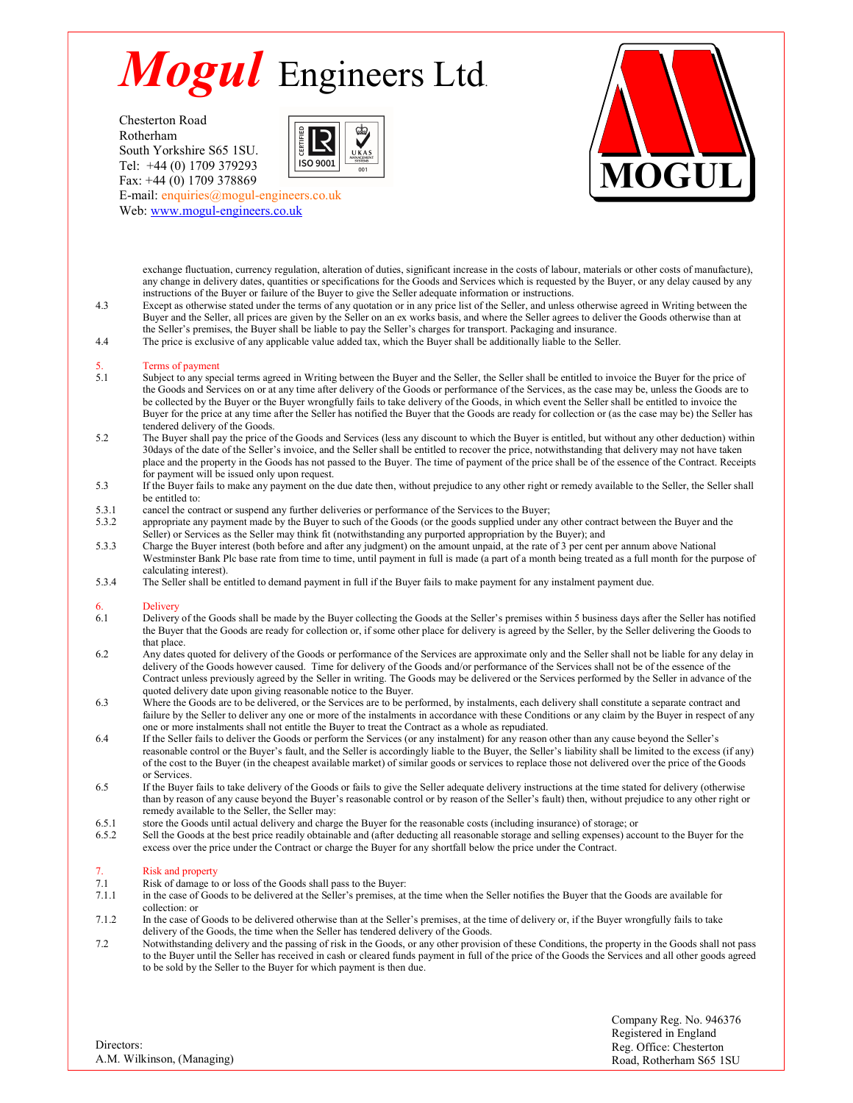South Yorkshire S65 1SU. Tel: +44 (0) 1709 379293 Fax: +44 (0) 1709 378869





E-mail: enquiries@mogul-engineers.co.uk Web: www.mogul-engineers.co.uk

> exchange fluctuation, currency regulation, alteration of duties, significant increase in the costs of labour, materials or other costs of manufacture), any change in delivery dates, quantities or specifications for the Goods and Services which is requested by the Buyer, or any delay caused by any instructions of the Buyer or failure of the Buyer to give the Seller adequate information or instructions.

- 4.3 Except as otherwise stated under the terms of any quotation or in any price list of the Seller, and unless otherwise agreed in Writing between the Buyer and the Seller, all prices are given by the Seller on an ex works basis, and where the Seller agrees to deliver the Goods otherwise than at the Seller's premises, the Buyer shall be liable to pay the Seller's charges for transport. Packaging and insurance.
- 4.4 The price is exclusive of any applicable value added tax, which the Buyer shall be additionally liable to the Seller.

### 5. Terms of payment<br>5.1 Subject to any speed

- Subject to any special terms agreed in Writing between the Buyer and the Seller, the Seller shall be entitled to invoice the Buyer for the price of the Goods and Services on or at any time after delivery of the Goods or performance of the Services, as the case may be, unless the Goods are to be collected by the Buyer or the Buyer wrongfully fails to take delivery of the Goods, in which event the Seller shall be entitled to invoice the Buyer for the price at any time after the Seller has notified the Buyer that the Goods are ready for collection or (as the case may be) the Seller has tendered delivery of the Goods.
- 5.2 The Buyer shall pay the price of the Goods and Services (less any discount to which the Buyer is entitled, but without any other deduction) within 30days of the date of the Seller's invoice, and the Seller shall be entitled to recover the price, notwithstanding that delivery may not have taken place and the property in the Goods has not passed to the Buyer. The time of payment of the price shall be of the essence of the Contract. Receipts for payment will be issued only upon request.
- 5.3 If the Buyer fails to make any payment on the due date then, without prejudice to any other right or remedy available to the Seller, the Seller shall be entitled to:
- 5.3.1 cancel the contract or suspend any further deliveries or performance of the Services to the Buyer;<br>5.3.2 appropriate any payment made by the Buyer to such of the Goods (or the goods supplied under an
- appropriate any payment made by the Buyer to such of the Goods (or the goods supplied under any other contract between the Buyer and the Seller) or Services as the Seller may think fit (notwithstanding any purported appropriation by the Buyer); and
- 5.3.3 Charge the Buyer interest (both before and after any judgment) on the amount unpaid, at the rate of 3 per cent per annum above National Westminster Bank Plc base rate from time to time, until payment in full is made (a part of a month being treated as a full month for the purpose of calculating interest).
- 5.3.4 The Seller shall be entitled to demand payment in full if the Buyer fails to make payment for any instalment payment due.

### 6. Delivery<br>6.1 Delivery

- 6.1 Delivery of the Goods shall be made by the Buyer collecting the Goods at the Seller's premises within 5 business days after the Seller has notified the Buyer that the Goods are ready for collection or, if some other place for delivery is agreed by the Seller, by the Seller delivering the Goods to that place.
- 6.2 Any dates quoted for delivery of the Goods or performance of the Services are approximate only and the Seller shall not be liable for any delay in delivery of the Goods however caused. Time for delivery of the Goods and/or performance of the Services shall not be of the essence of the Contract unless previously agreed by the Seller in writing. The Goods may be delivered or the Services performed by the Seller in advance of the quoted delivery date upon giving reasonable notice to the Buyer.
- 6.3 Where the Goods are to be delivered, or the Services are to be performed, by instalments, each delivery shall constitute a separate contract and failure by the Seller to deliver any one or more of the instalments in accordance with these Conditions or any claim by the Buyer in respect of any one or more instalments shall not entitle the Buyer to treat the Contract as a whole as repudiated.
- 6.4 If the Seller fails to deliver the Goods or perform the Services (or any instalment) for any reason other than any cause beyond the Seller's reasonable control or the Buyer's fault, and the Seller is accordingly liable to the Buyer, the Seller's liability shall be limited to the excess (if any) of the cost to the Buyer (in the cheapest available market) of similar goods or services to replace those not delivered over the price of the Goods or Services.
- 6.5 If the Buyer fails to take delivery of the Goods or fails to give the Seller adequate delivery instructions at the time stated for delivery (otherwise than by reason of any cause beyond the Buyer's reasonable control or by reason of the Seller's fault) then, without prejudice to any other right or remedy available to the Seller, the Seller may:
- 6.5.1 store the Goods until actual delivery and charge the Buyer for the reasonable costs (including insurance) of storage; or 6.5.2
- Sell the Goods at the best price readily obtainable and (after deducting all reasonable storage and selling expenses) account to the Buyer for the excess over the price under the Contract or charge the Buyer for any shortfall below the price under the Contract.

### 7. Risk and property<br>7.1 Risk of damage to

- 7.1 Risk of damage to or loss of the Goods shall pass to the Buyer:<br>7.1.1 in the case of Goods to be delivered at the Seller's premises, at 1
- 7.1.1 in the case of Goods to be delivered at the Seller's premises, at the time when the Seller notifies the Buyer that the Goods are available for collection: or
- 7.1.2 In the case of Goods to be delivered otherwise than at the Seller's premises, at the time of delivery or, if the Buyer wrongfully fails to take delivery of the Goods, the time when the Seller has tendered delivery of the Goods.
- 7.2 Notwithstanding delivery and the passing of risk in the Goods, or any other provision of these Conditions, the property in the Goods shall not pass to the Buyer until the Seller has received in cash or cleared funds payment in full of the price of the Goods the Services and all other goods agreed to be sold by the Seller to the Buyer for which payment is then due.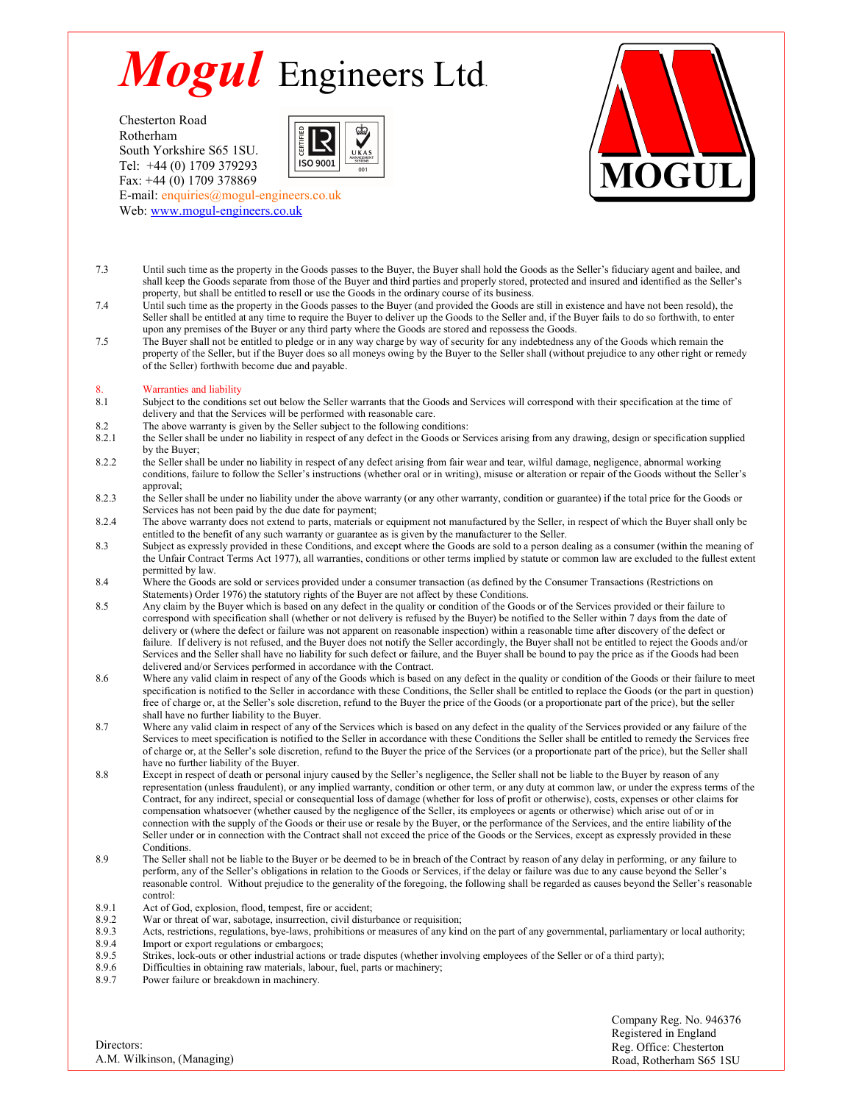South Yorkshire S65 1SU.<br>
Tel. 144 (0) 1700 270202 Tel: +44 (0) 1709 379293 Fax: +44 (0) 1709 378869





E-mail: enquiries@mogul-engineers.co.uk Web: www.mogul-engineers.co.uk

- 7.3 Until such time as the property in the Goods passes to the Buyer, the Buyer shall hold the Goods as the Seller's fiduciary agent and bailee, and shall keep the Goods separate from those of the Buyer and third parties and properly stored, protected and insured and identified as the Seller's property, but shall be entitled to resell or use the Goods in the ordinary course of its business.
- 7.4 Until such time as the property in the Goods passes to the Buyer (and provided the Goods are still in existence and have not been resold), the Seller shall be entitled at any time to require the Buyer to deliver up the Goods to the Seller and, if the Buyer fails to do so forthwith, to enter upon any premises of the Buyer or any third party where the Goods are stored and repossess the Goods.
- 7.5 The Buyer shall not be entitled to pledge or in any way charge by way of security for any indebtedness any of the Goods which remain the property of the Seller, but if the Buyer does so all moneys owing by the Buyer to the Seller shall (without prejudice to any other right or remedy of the Seller) forthwith become due and payable.

## 8. Warranties and liability<br>8.1 Subject to the condition

- Subject to the conditions set out below the Seller warrants that the Goods and Services will correspond with their specification at the time of delivery and that the Services will be performed with reasonable care.
- 
- 8.2 The above warranty is given by the Seller subject to the following conditions:<br>8.2.1 the Seller shall be under no liability in respect of any defect in the Goods or Se the Seller shall be under no liability in respect of any defect in the Goods or Services arising from any drawing, design or specification supplied by the Buyer;
- 8.2.2 the Seller shall be under no liability in respect of any defect arising from fair wear and tear, wilful damage, negligence, abnormal working conditions, failure to follow the Seller's instructions (whether oral or in writing), misuse or alteration or repair of the Goods without the Seller's approval;
- 8.2.3 the Seller shall be under no liability under the above warranty (or any other warranty, condition or guarantee) if the total price for the Goods or Services has not been paid by the due date for payment;
- 8.2.4 The above warranty does not extend to parts, materials or equipment not manufactured by the Seller, in respect of which the Buyer shall only be entitled to the benefit of any such warranty or guarantee as is given by the manufacturer to the Seller.
- 8.3 Subject as expressly provided in these Conditions, and except where the Goods are sold to a person dealing as a consumer (within the meaning of the Unfair Contract Terms Act 1977), all warranties, conditions or other terms implied by statute or common law are excluded to the fullest extent permitted by law.
- 8.4 Where the Goods are sold or services provided under a consumer transaction (as defined by the Consumer Transactions (Restrictions on Statements) Order 1976) the statutory rights of the Buyer are not affect by these Conditions.
- 8.5 Any claim by the Buyer which is based on any defect in the quality or condition of the Goods or of the Services provided or their failure to correspond with specification shall (whether or not delivery is refused by the Buyer) be notified to the Seller within 7 days from the date of delivery or (where the defect or failure was not apparent on reasonable inspection) within a reasonable time after discovery of the defect or failure. If delivery is not refused, and the Buyer does not notify the Seller accordingly, the Buyer shall not be entitled to reject the Goods and/or Services and the Seller shall have no liability for such defect or failure, and the Buyer shall be bound to pay the price as if the Goods had been delivered and/or Services performed in accordance with the Contract.
- 8.6 Where any valid claim in respect of any of the Goods which is based on any defect in the quality or condition of the Goods or their failure to meet specification is notified to the Seller in accordance with these Conditions, the Seller shall be entitled to replace the Goods (or the part in question) free of charge or, at the Seller's sole discretion, refund to the Buyer the price of the Goods (or a proportionate part of the price), but the seller shall have no further liability to the Buyer.
- 8.7 Where any valid claim in respect of any of the Services which is based on any defect in the quality of the Services provided or any failure of the Services to meet specification is notified to the Seller in accordance with these Conditions the Seller shall be entitled to remedy the Services free of charge or, at the Seller's sole discretion, refund to the Buyer the price of the Services (or a proportionate part of the price), but the Seller shall have no further liability of the Buyer.
- 8.8 Except in respect of death or personal injury caused by the Seller's negligence, the Seller shall not be liable to the Buyer by reason of any representation (unless fraudulent), or any implied warranty, condition or other term, or any duty at common law, or under the express terms of the Contract, for any indirect, special or consequential loss of damage (whether for loss of profit or otherwise), costs, expenses or other claims for compensation whatsoever (whether caused by the negligence of the Seller, its employees or agents or otherwise) which arise out of or in connection with the supply of the Goods or their use or resale by the Buyer, or the performance of the Services, and the entire liability of the Seller under or in connection with the Contract shall not exceed the price of the Goods or the Services, except as expressly provided in these Conditions.
- 8.9 The Seller shall not be liable to the Buyer or be deemed to be in breach of the Contract by reason of any delay in performing, or any failure to perform, any of the Seller's obligations in relation to the Goods or Services, if the delay or failure was due to any cause beyond the Seller's reasonable control. Without prejudice to the generality of the foregoing, the following shall be regarded as causes beyond the Seller's reasonable control:
- 
- 8.9.1 Act of God, explosion, flood, tempest, fire or accident;<br>8.9.2 War or threat of war, sabotage, insurrection, civil distur 8.9.2 War or threat of war, sabotage, insurrection, civil disturbance or requisition;<br>8.9.3 Acts. restrictions. regulations. bye-laws. prohibitions or measures of any kine
- Acts, restrictions, regulations, bye-laws, prohibitions or measures of any kind on the part of any governmental, parliamentary or local authority;
- 8.9.4 Import or export regulations or embargoes;<br>8.9.5 Strikes, lock-outs or other industrial actions
- 8.9.5 Strikes, lock-outs or other industrial actions or trade disputes (whether involving employees of the Seller or of a third party);<br>8.9.6 Difficulties in obtaining raw materials, labour, fuel, parts or machinery; 8.9.6 Difficulties in obtaining raw materials, labour, fuel, parts or machinery;<br>8.9.7 Power failure or breakdown in machinery
- Power failure or breakdown in machinery.

Directors: A.M. Wilkinson, (Managing) Company Reg. No. 946376 Registered in England Reg. Office: Chesterton Road, Rotherham S65 1SU